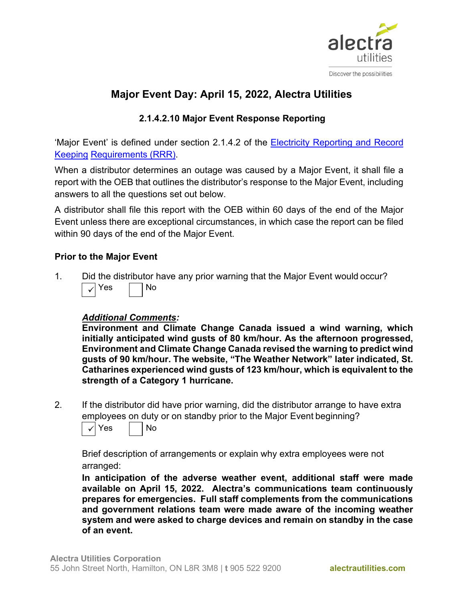

### **2.1.4.2.10 Major Event Response Reporting**

'Major Event' is defined under section 2.1.4.2 of the [Electricity Reporting and Record](https://www.oeb.ca/sites/default/files/RRR-Electricity-20181129-1.pdf)  [Keeping](https://www.oeb.ca/sites/default/files/RRR-Electricity-20181129-1.pdf) [Requirements \(RRR\).](https://www.oeb.ca/sites/default/files/RRR-Electricity-20181129-1.pdf)

When a distributor determines an outage was caused by a Major Event, it shall file a report with the OEB that outlines the distributor's response to the Major Event, including answers to all the questions set out below.

A distributor shall file this report with the OEB within 60 days of the end of the Major Event unless there are exceptional circumstances, in which case the report can be filed within 90 days of the end of the Major Event.

### **Prior to the Major Event**

1. Did the distributor have any prior warning that the Major Event would occur?  $Yes$  | |  $No$  $\checkmark$ 

### *Additional Comments:*

**Environment and Climate Change Canada issued a wind warning, which initially anticipated wind gusts of 80 km/hour. As the afternoon progressed, Environment and Climate Change Canada revised the warning to predict wind gusts of 90 km/hour. The website, "The Weather Network" later indicated, St. Catharines experienced wind gusts of 123 km/hour, which is equivalent to the strength of a Category 1 hurricane.**

2. If the distributor did have prior warning, did the distributor arrange to have extra employees on duty or on standby prior to the Major Event beginning?



Brief description of arrangements or explain why extra employees were not arranged:

**In anticipation of the adverse weather event, additional staff were made available on April 15, 2022. Alectra's communications team continuously prepares for emergencies. Full staff complements from the communications and government relations team were made aware of the incoming weather system and were asked to charge devices and remain on standby in the case of an event.**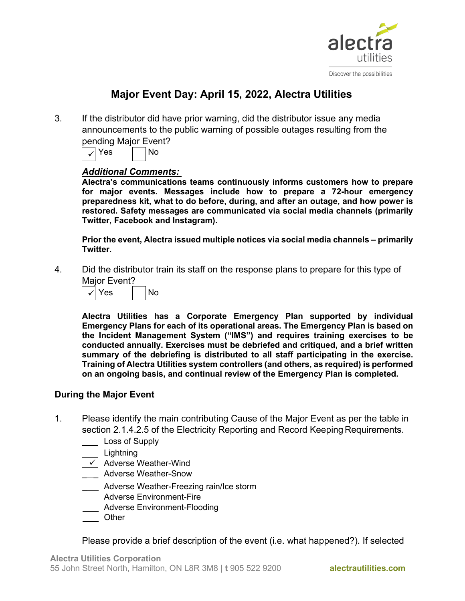

3. If the distributor did have prior warning, did the distributor issue any media announcements to the public warning of possible outages resulting from the pending Major Event?

 $\vert \sqrt{\mathrm{Yes}} \vert$   $\vert$  No

### *Additional Comments:*

**Alectra's communications teams continuously informs customers how to prepare for major events. Messages include how to prepare a 72-hour emergency preparedness kit, what to do before, during, and after an outage, and how power is restored. Safety messages are communicated via social media channels (primarily Twitter, Facebook and Instagram).**

**Prior the event, Alectra issued multiple notices via social media channels – primarily Twitter.** 

4. Did the distributor train its staff on the response plans to prepare for this type of Major Event?



**Alectra Utilities has a Corporate Emergency Plan supported by individual Emergency Plans for each of its operational areas. The Emergency Plan is based on the Incident Management System ("IMS") and requires training exercises to be conducted annually. Exercises must be debriefed and critiqued, and a brief written summary of the debriefing is distributed to all staff participating in the exercise. Training of Alectra Utilities system controllers (and others, as required) is performed on an ongoing basis, and continual review of the Emergency Plan is completed.**

### **During the Major Event**

- 1. Please identify the main contributing Cause of the Major Event as per the table in section 2.1.4.2.5 of the Electricity Reporting and Record Keeping Requirements.
	- Loss of Supply
	- Lightning
	- $\checkmark$  Adverse Weather-Wind
	- Adverse Weather-Snow
	- **EXECO Adverse Weather-Freezing rain/Ice storm**
	- **Mandal Environment-Fire**
	- Adverse Environment-Flooding
	- **Other**

Please provide a brief description of the event (i.e. what happened?). If selected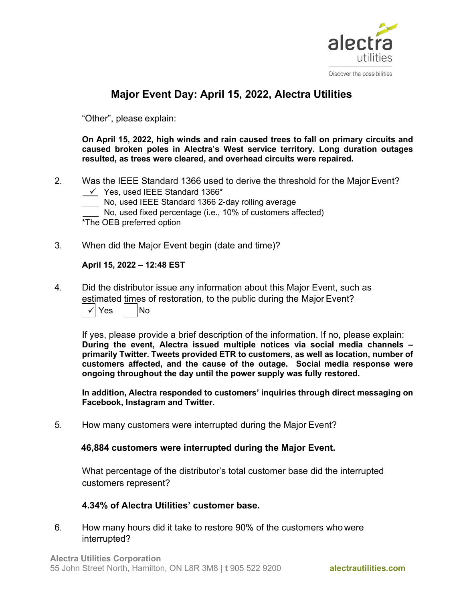

"Other", please explain:

**On April 15, 2022, high winds and rain caused trees to fall on primary circuits and caused broken poles in Alectra's West service territory. Long duration outages resulted, as trees were cleared, and overhead circuits were repaired.** 

- 2. Was the IEEE Standard 1366 used to derive the threshold for the Major Event?
	- $\checkmark$  Yes, used IEEE Standard 1366\*
	- No, used IEEE Standard 1366 2-day rolling average

No, used fixed percentage (i.e., 10% of customers affected)

\*The OEB preferred option

3. When did the Major Event begin (date and time)?

#### **April 15, 2022 – 12:48 EST**

4. Did the distributor issue any information about this Major Event, such as estimated times of restoration, to the public during the Major Event?

| <b>No</b><br>$\checkmark$<br>Yes |  |
|----------------------------------|--|
|----------------------------------|--|

If yes, please provide a brief description of the information. If no, please explain: **During the event, Alectra issued multiple notices via social media channels – primarily Twitter. Tweets provided ETR to customers, as well as location, number of customers affected, and the cause of the outage. Social media response were ongoing throughout the day until the power supply was fully restored.** 

**In addition, Alectra responded to customers' inquiries through direct messaging on Facebook, Instagram and Twitter.** 

5. How many customers were interrupted during the Major Event?

### **46,884 customers were interrupted during the Major Event.**

What percentage of the distributor's total customer base did the interrupted customers represent?

### **4.34% of Alectra Utilities' customer base.**

6. How many hours did it take to restore 90% of the customers who were interrupted?